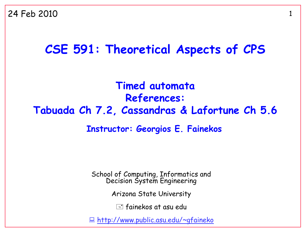#### **CSE 591: Theoretical Aspects of CPS**

**Timed automata References: Tabuada Ch 7.2, Cassandras & Lafortune Ch 5.6**

#### **Instructor: Georgios E. Fainekos**

School of Computing, Informatics and Decision System Engineering

Arizona State University

 $\equiv$  fainekos at asu edu

<http://www.public.asu.edu/~gfaineko>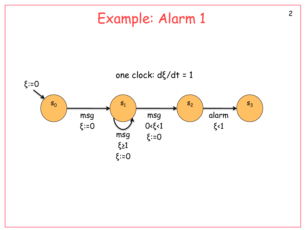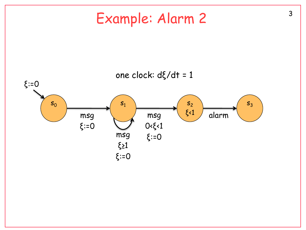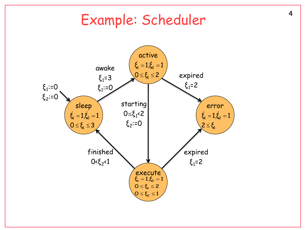## Example: Scheduler

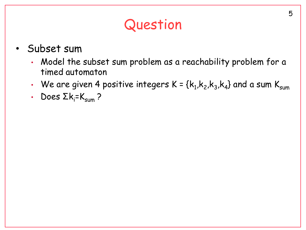## Question

- Subset sum
	- Model the subset sum problem as a reachability problem for a timed automaton
	- We are given 4 positive integers K = { $\mathsf{k}_1, \mathsf{k}_2, \mathsf{k}_3, \mathsf{k}_4\}$  and a sum  $\mathsf{K}_{\mathsf{sum}}$
	- Does  $\Sigma k_i = K_{sum}$ ?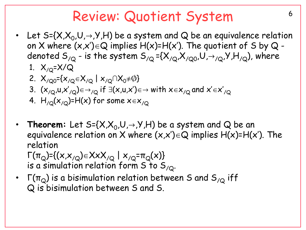## Review: Quotient System

- Let S={X,X $_0$ ,U, $\rightarrow$ ,Y,H) be a system and Q be an equivalence relation on X where  $(x,x')\in\mathbb{Q}$  implies  $H(x)=H(x')$ . The quotient of S by  $\mathbb{Q}$  denoted  $S_{/Q}$  - is the system  $S_{/Q}$  ={ $X_{/Q}$ , $X_{/Q0}$ , $U_{, \rightarrow /Q}$ , $Y$ , $H_{/Q}$ ), where
	- 1.  $X_{/Q} = X/Q$
	- 2.  $X_{/Q0} = \{x_{/Q} \in X_{/Q} \mid x_{/Q} \cap X_0 \neq \emptyset\}$
	- 3.  $(x_{/Q}, u, x'_{/Q}) \in \rightarrow_{/Q}$  if  $\exists (x, u, x') \in \rightarrow$  with  $x \in x_{/Q}$  and  $x' \in x'_{/Q}$
	- 4.  $H_{/Q}(x_{/Q})=H(x)$  for some  $x \in x_{/Q}$
- Theorem: Let  $S = \{X, X_0, U, \rightarrow, Y, H\}$  be a system and Q be an equivalence relation on X where  $(x,x')\in Q$  implies  $H(x)=H(x')$ . The relation

 $\Gamma(\pi_{\text{Q}})$ ={(x,x<sub>/Q</sub>)∈XxX<sub>/Q</sub> | x<sub>/Q</sub>= $\pi_{\text{Q}}(x)$ } is a simulation relation form S to  $S_{\alpha}$ .

Γ( $\pi$ <sub>Q</sub>) is a bisimulation relation between S and S<sub>/Q</sub> iff Q is bisimulation between S and S.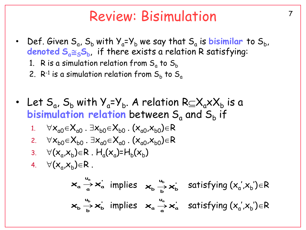## <sup>7</sup> Review: Bisimulation

- Def. Given  $S_a$ ,  $S_b$  with  $Y_a = Y_b$  we say that  $S_a$  is **bisimilar** to  $S_b$ , **denoted SaSS<sup>b</sup>** , if there exists a relation R satisfying:
	- 1.  $\,$  R is a simulation relation from  $\mathsf{S}_{\alpha}$  to  $\mathsf{S}_{\mathsf{b}}$
	- 2.  $\mathsf{R}^{\text{-}1}$  is a simulation relation from  $\mathsf{S}_\mathsf{b}$  to  $\mathsf{S}_\mathsf{a}$
- Let  $S_a$ ,  $S_b$  with  $Y_a = Y_b$ . A relation  $R \subseteq X_a \times X_b$  is a  $\bm{\mathsf{b}}$  isimulation relation between  $\bm{\mathsf{S}}_{\mathsf{a}}$  and  $\bm{\mathsf{S}}_{\mathsf{b}}$  if 1.  $\forall x_{a0} \in X_{a0}$ .  $\exists x_{b0} \in X_{b0}$ .  $(x_{a0},x_{b0}) \in R$ 2.  $\forall x_{b0} \in X_{b0}$ .  $\exists x_{a0} \in X_{a0}$ .  $(x_{a0},x_{b0}) \in R$ 3.  $\forall (x_a, x_b) \in R$ .  $H_a(x_a) = H_b(x_b)$ 4.  $\forall (x_a, x_b) \in R$ . implies satisfying (x<sup>a</sup> ',x<sup>b</sup> ')R **' a**  $\mathbf{x}_{\mathsf{a}} \xrightarrow[\mathsf{a}]{\sim} \mathsf{x}_{\mathsf{a}}^{\mathsf{a}}$  satisfying  $(\mathsf{x}_{\mathsf{a}}^{\mathsf{a}} , \mathsf{x}_{\mathsf{b}}^{\mathsf{b}}) \in \mathsf{R}$ **u**  $\mathsf{X}_{\mathsf{a}} \xrightarrow[\mathsf{a}]{\mathsf{u}_{\mathsf{a}}} \mathsf{X}$ **' b u**  $\mathsf{x}_{\mathsf{b}} \xrightarrow[\mathsf{b}]{\mathsf{u}_{\mathsf{b}}} \mathsf{x}$ **u**  $\mathbf{x}_{\mathsf{b}} \stackrel{u_{\mathsf{b}}}{\rightarrow} \mathbf{x}_{\mathsf{b}}^{'}$  implies  $\mathbf{x}_{\mathsf{a}} \stackrel{u_{\mathsf{a}}}{\rightarrow} \mathbf{x}_{\mathsf{a}}^{'}$ **u**  $\mathsf{X}_{\mathsf{a}} \xrightarrow[\mathsf{a}]{\mathsf{u}_{\mathsf{a}}} \mathsf{X}$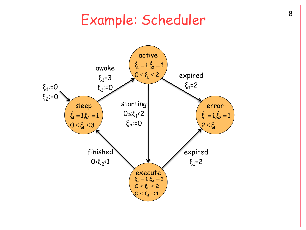## Example: Scheduler

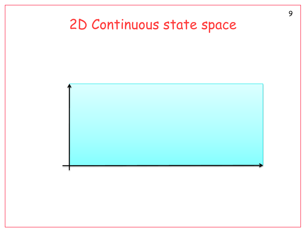# 2D Continuous state space

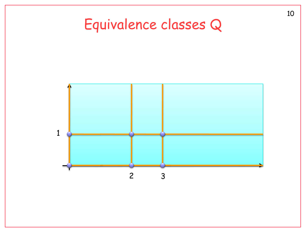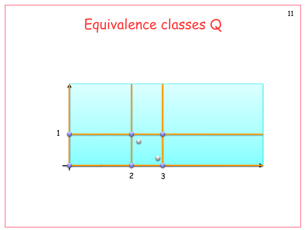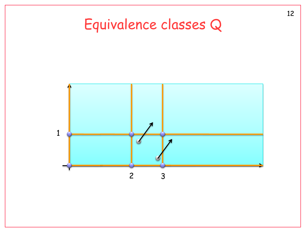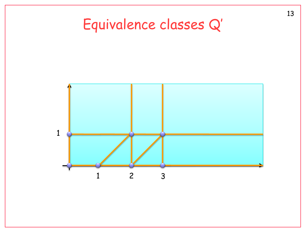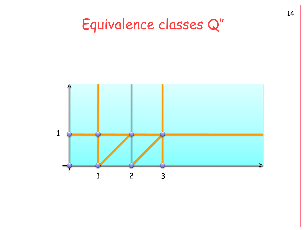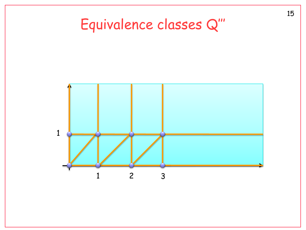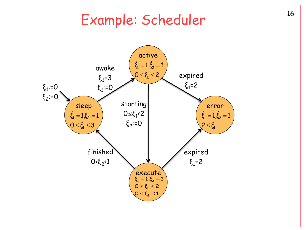# <sup>16</sup> Example: Scheduler

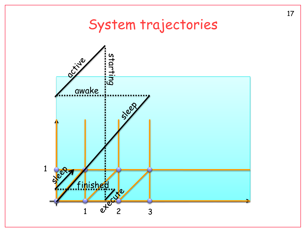## System trajectories

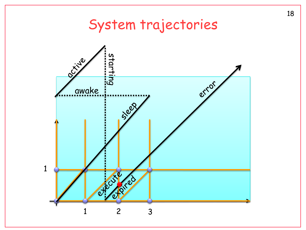## System trajectories

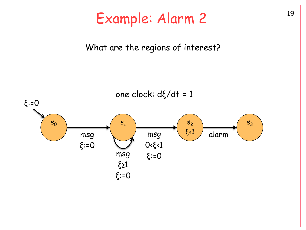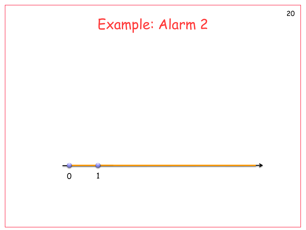# Example: Alarm 2

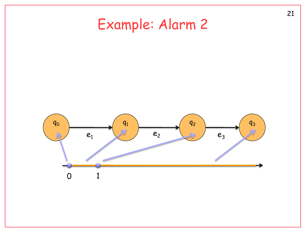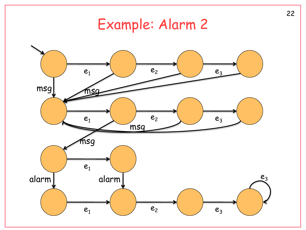## Example: Alarm 2